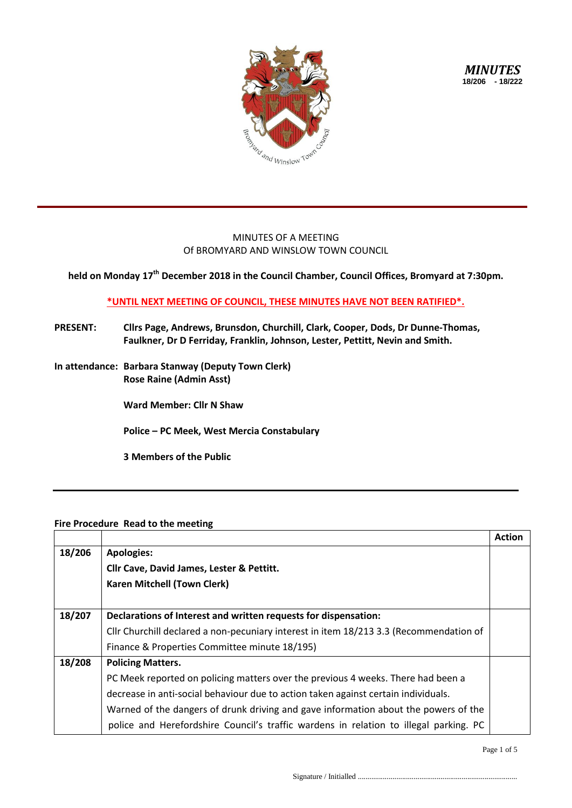

*MINUTES* **18/206 - 18/222**

## MINUTES OF A MEETING Of BROMYARD AND WINSLOW TOWN COUNCIL

**held on Monday 17th December 2018 in the Council Chamber, Council Offices, Bromyard at 7:30pm.**

## **\*UNTIL NEXT MEETING OF COUNCIL, THESE MINUTES HAVE NOT BEEN RATIFIED\*.**

- **PRESENT: Cllrs Page, Andrews, Brunsdon, Churchill, Clark, Cooper, Dods, Dr Dunne-Thomas, Faulkner, Dr D Ferriday, Franklin, Johnson, Lester, Pettitt, Nevin and Smith.**
- **In attendance: Barbara Stanway (Deputy Town Clerk) Rose Raine (Admin Asst)**

**Ward Member: Cllr N Shaw**

**Police – PC Meek, West Mercia Constabulary**

**3 Members of the Public**

## **Fire Procedure Read to the meeting**

|        |                                                                                        | <b>Action</b> |
|--------|----------------------------------------------------------------------------------------|---------------|
| 18/206 | <b>Apologies:</b>                                                                      |               |
|        | Cllr Cave, David James, Lester & Pettitt.                                              |               |
|        | <b>Karen Mitchell (Town Clerk)</b>                                                     |               |
|        |                                                                                        |               |
| 18/207 | Declarations of Interest and written requests for dispensation:                        |               |
|        | Cllr Churchill declared a non-pecuniary interest in item 18/213 3.3 (Recommendation of |               |
|        | Finance & Properties Committee minute 18/195)                                          |               |
| 18/208 | <b>Policing Matters.</b>                                                               |               |
|        | PC Meek reported on policing matters over the previous 4 weeks. There had been a       |               |
|        | decrease in anti-social behaviour due to action taken against certain individuals.     |               |
|        | Warned of the dangers of drunk driving and gave information about the powers of the    |               |
|        | police and Herefordshire Council's traffic wardens in relation to illegal parking. PC  |               |

Page 1 of 5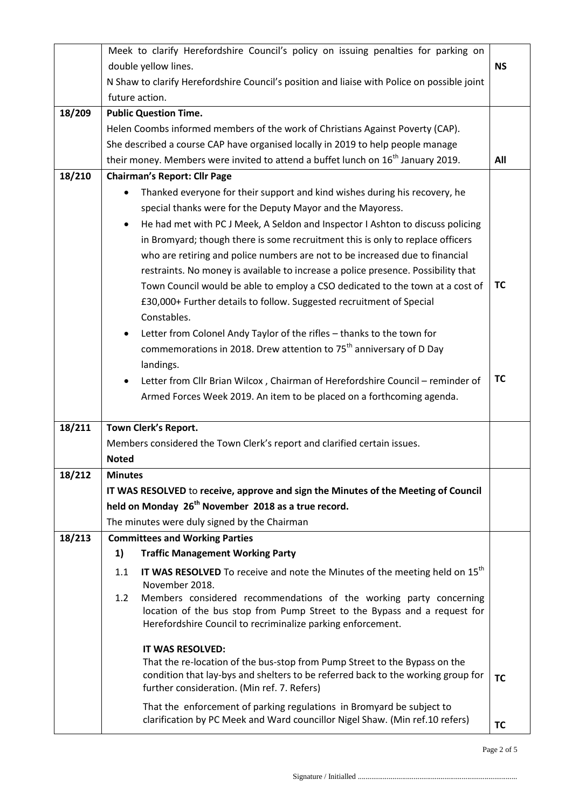|        | Meek to clarify Herefordshire Council's policy on issuing penalties for parking on          |                                                                                                                                                       |           |  |  |  |
|--------|---------------------------------------------------------------------------------------------|-------------------------------------------------------------------------------------------------------------------------------------------------------|-----------|--|--|--|
|        | double yellow lines.<br><b>NS</b>                                                           |                                                                                                                                                       |           |  |  |  |
|        | N Shaw to clarify Herefordshire Council's position and liaise with Police on possible joint |                                                                                                                                                       |           |  |  |  |
|        | future action.                                                                              |                                                                                                                                                       |           |  |  |  |
| 18/209 | <b>Public Question Time.</b>                                                                |                                                                                                                                                       |           |  |  |  |
|        |                                                                                             | Helen Coombs informed members of the work of Christians Against Poverty (CAP).                                                                        |           |  |  |  |
|        |                                                                                             | She described a course CAP have organised locally in 2019 to help people manage                                                                       |           |  |  |  |
|        |                                                                                             | their money. Members were invited to attend a buffet lunch on 16 <sup>th</sup> January 2019.                                                          | All       |  |  |  |
| 18/210 | <b>Chairman's Report: Cllr Page</b>                                                         |                                                                                                                                                       |           |  |  |  |
|        | $\bullet$                                                                                   | Thanked everyone for their support and kind wishes during his recovery, he                                                                            |           |  |  |  |
|        |                                                                                             | special thanks were for the Deputy Mayor and the Mayoress.                                                                                            |           |  |  |  |
|        | $\bullet$                                                                                   | He had met with PC J Meek, A Seldon and Inspector I Ashton to discuss policing                                                                        |           |  |  |  |
|        |                                                                                             | in Bromyard; though there is some recruitment this is only to replace officers                                                                        |           |  |  |  |
|        |                                                                                             | who are retiring and police numbers are not to be increased due to financial                                                                          |           |  |  |  |
|        |                                                                                             | restraints. No money is available to increase a police presence. Possibility that                                                                     |           |  |  |  |
|        |                                                                                             | Town Council would be able to employ a CSO dedicated to the town at a cost of                                                                         | ТC        |  |  |  |
|        |                                                                                             | £30,000+ Further details to follow. Suggested recruitment of Special                                                                                  |           |  |  |  |
|        |                                                                                             | Constables.                                                                                                                                           |           |  |  |  |
|        | $\bullet$                                                                                   | Letter from Colonel Andy Taylor of the rifles - thanks to the town for                                                                                |           |  |  |  |
|        |                                                                                             | commemorations in 2018. Drew attention to 75 <sup>th</sup> anniversary of D Day                                                                       |           |  |  |  |
|        |                                                                                             | landings.                                                                                                                                             |           |  |  |  |
|        | $\bullet$                                                                                   | Letter from Cllr Brian Wilcox, Chairman of Herefordshire Council - reminder of                                                                        | TC        |  |  |  |
|        |                                                                                             | Armed Forces Week 2019. An item to be placed on a forthcoming agenda.                                                                                 |           |  |  |  |
|        |                                                                                             |                                                                                                                                                       |           |  |  |  |
| 18/211 |                                                                                             | Town Clerk's Report.                                                                                                                                  |           |  |  |  |
|        |                                                                                             | Members considered the Town Clerk's report and clarified certain issues.                                                                              |           |  |  |  |
|        | <b>Noted</b>                                                                                |                                                                                                                                                       |           |  |  |  |
| 18/212 | <b>Minutes</b>                                                                              |                                                                                                                                                       |           |  |  |  |
|        |                                                                                             | IT WAS RESOLVED to receive, approve and sign the Minutes of the Meeting of Council                                                                    |           |  |  |  |
|        |                                                                                             | held on Monday 26 <sup>th</sup> November 2018 as a true record.                                                                                       |           |  |  |  |
|        |                                                                                             | The minutes were duly signed by the Chairman                                                                                                          |           |  |  |  |
| 18/213 | <b>Committees and Working Parties</b>                                                       |                                                                                                                                                       |           |  |  |  |
|        | 1)                                                                                          | <b>Traffic Management Working Party</b>                                                                                                               |           |  |  |  |
|        | 1.1                                                                                         | IT WAS RESOLVED To receive and note the Minutes of the meeting held on 15 <sup>th</sup>                                                               |           |  |  |  |
|        |                                                                                             | November 2018.                                                                                                                                        |           |  |  |  |
|        | 1.2                                                                                         | Members considered recommendations of the working party concerning                                                                                    |           |  |  |  |
|        |                                                                                             | location of the bus stop from Pump Street to the Bypass and a request for                                                                             |           |  |  |  |
|        |                                                                                             | Herefordshire Council to recriminalize parking enforcement.                                                                                           |           |  |  |  |
|        |                                                                                             | IT WAS RESOLVED:                                                                                                                                      |           |  |  |  |
|        |                                                                                             | That the re-location of the bus-stop from Pump Street to the Bypass on the                                                                            |           |  |  |  |
|        |                                                                                             | condition that lay-bys and shelters to be referred back to the working group for                                                                      | <b>TC</b> |  |  |  |
|        |                                                                                             | further consideration. (Min ref. 7. Refers)                                                                                                           |           |  |  |  |
|        |                                                                                             |                                                                                                                                                       |           |  |  |  |
|        |                                                                                             | That the enforcement of parking regulations in Bromyard be subject to<br>clarification by PC Meek and Ward councillor Nigel Shaw. (Min ref.10 refers) |           |  |  |  |

Page 2 of 5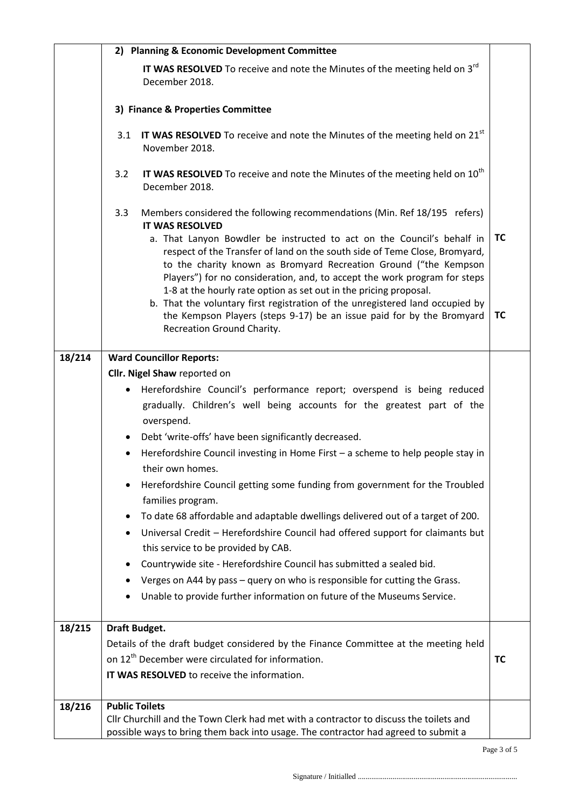|        | 2) Planning & Economic Development Committee                                                                                                                                                                                                                                                                                           |           |  |
|--------|----------------------------------------------------------------------------------------------------------------------------------------------------------------------------------------------------------------------------------------------------------------------------------------------------------------------------------------|-----------|--|
|        | IT WAS RESOLVED To receive and note the Minutes of the meeting held on 3 <sup>rd</sup><br>December 2018.                                                                                                                                                                                                                               |           |  |
|        | 3) Finance & Properties Committee                                                                                                                                                                                                                                                                                                      |           |  |
|        | IT WAS RESOLVED To receive and note the Minutes of the meeting held on 21 <sup>st</sup><br>3.1<br>November 2018.                                                                                                                                                                                                                       |           |  |
|        | IT WAS RESOLVED To receive and note the Minutes of the meeting held on $10^{th}$<br>3.2<br>December 2018.                                                                                                                                                                                                                              |           |  |
|        | 3.3<br>Members considered the following recommendations (Min. Ref 18/195 refers)<br><b>IT WAS RESOLVED</b><br>a. That Lanyon Bowdler be instructed to act on the Council's behalf in<br>respect of the Transfer of land on the south side of Teme Close, Bromyard,<br>to the charity known as Bromyard Recreation Ground ("the Kempson | <b>TC</b> |  |
|        | Players") for no consideration, and, to accept the work program for steps<br>1-8 at the hourly rate option as set out in the pricing proposal.<br>b. That the voluntary first registration of the unregistered land occupied by<br>the Kempson Players (steps 9-17) be an issue paid for by the Bromyard<br>Recreation Ground Charity. | <b>TC</b> |  |
| 18/214 | <b>Ward Councillor Reports:</b>                                                                                                                                                                                                                                                                                                        |           |  |
|        | Cllr. Nigel Shaw reported on                                                                                                                                                                                                                                                                                                           |           |  |
|        | Herefordshire Council's performance report; overspend is being reduced<br>$\bullet$<br>gradually. Children's well being accounts for the greatest part of the<br>overspend.                                                                                                                                                            |           |  |
|        | Debt 'write-offs' have been significantly decreased.<br>$\bullet$                                                                                                                                                                                                                                                                      |           |  |
|        | Herefordshire Council investing in Home First - a scheme to help people stay in<br>their own homes.                                                                                                                                                                                                                                    |           |  |
|        | Herefordshire Council getting some funding from government for the Troubled<br>$\bullet$<br>families program.                                                                                                                                                                                                                          |           |  |
|        | To date 68 affordable and adaptable dwellings delivered out of a target of 200.<br>$\bullet$<br>Universal Credit - Herefordshire Council had offered support for claimants but<br>$\bullet$                                                                                                                                            |           |  |
|        | this service to be provided by CAB.                                                                                                                                                                                                                                                                                                    |           |  |
|        | Countrywide site - Herefordshire Council has submitted a sealed bid.<br>٠                                                                                                                                                                                                                                                              |           |  |
|        | Verges on A44 by pass - query on who is responsible for cutting the Grass.<br>٠                                                                                                                                                                                                                                                        |           |  |
|        | Unable to provide further information on future of the Museums Service.                                                                                                                                                                                                                                                                |           |  |
| 18/215 | Draft Budget.                                                                                                                                                                                                                                                                                                                          |           |  |
|        | Details of the draft budget considered by the Finance Committee at the meeting held                                                                                                                                                                                                                                                    |           |  |
|        | on 12 <sup>th</sup> December were circulated for information.                                                                                                                                                                                                                                                                          | <b>TC</b> |  |
|        | IT WAS RESOLVED to receive the information.                                                                                                                                                                                                                                                                                            |           |  |
| 18/216 | <b>Public Toilets</b>                                                                                                                                                                                                                                                                                                                  |           |  |
|        | Cllr Churchill and the Town Clerk had met with a contractor to discuss the toilets and                                                                                                                                                                                                                                                 |           |  |
|        | possible ways to bring them back into usage. The contractor had agreed to submit a                                                                                                                                                                                                                                                     |           |  |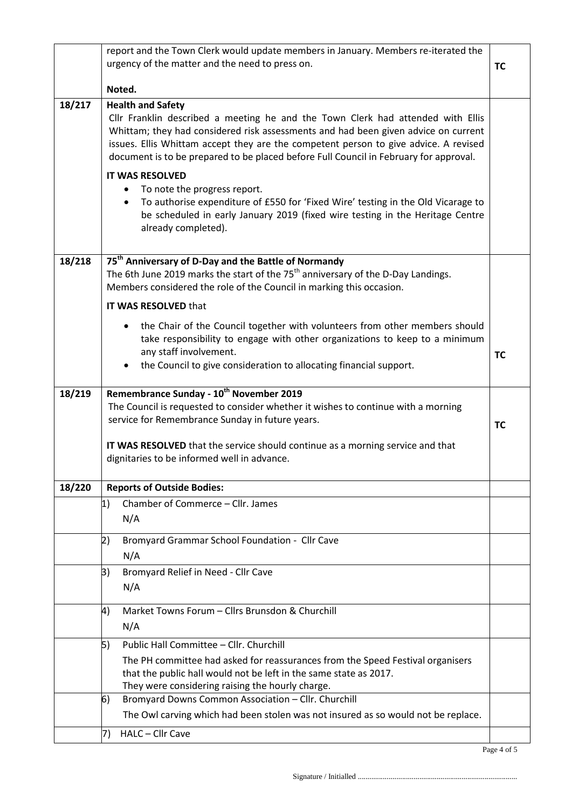|        | report and the Town Clerk would update members in January. Members re-iterated the                                                                                                                                                                                                                                                                                                 |           |
|--------|------------------------------------------------------------------------------------------------------------------------------------------------------------------------------------------------------------------------------------------------------------------------------------------------------------------------------------------------------------------------------------|-----------|
|        | urgency of the matter and the need to press on.                                                                                                                                                                                                                                                                                                                                    | <b>TC</b> |
|        |                                                                                                                                                                                                                                                                                                                                                                                    |           |
|        | Noted.                                                                                                                                                                                                                                                                                                                                                                             |           |
| 18/217 | <b>Health and Safety</b><br>Cllr Franklin described a meeting he and the Town Clerk had attended with Ellis<br>Whittam; they had considered risk assessments and had been given advice on current<br>issues. Ellis Whittam accept they are the competent person to give advice. A revised<br>document is to be prepared to be placed before Full Council in February for approval. |           |
|        | <b>IT WAS RESOLVED</b>                                                                                                                                                                                                                                                                                                                                                             |           |
|        | To note the progress report.<br>٠<br>To authorise expenditure of £550 for 'Fixed Wire' testing in the Old Vicarage to<br>$\bullet$<br>be scheduled in early January 2019 (fixed wire testing in the Heritage Centre<br>already completed).                                                                                                                                         |           |
| 18/218 | 75 <sup>th</sup> Anniversary of D-Day and the Battle of Normandy                                                                                                                                                                                                                                                                                                                   |           |
|        | The 6th June 2019 marks the start of the 75 <sup>th</sup> anniversary of the D-Day Landings.<br>Members considered the role of the Council in marking this occasion.                                                                                                                                                                                                               |           |
|        | IT WAS RESOLVED that                                                                                                                                                                                                                                                                                                                                                               |           |
|        | the Chair of the Council together with volunteers from other members should<br>$\bullet$<br>take responsibility to engage with other organizations to keep to a minimum<br>any staff involvement.<br>the Council to give consideration to allocating financial support.                                                                                                            | <b>TC</b> |
|        |                                                                                                                                                                                                                                                                                                                                                                                    |           |
| 18/219 | Remembrance Sunday - 10 <sup>th</sup> November 2019<br>The Council is requested to consider whether it wishes to continue with a morning<br>service for Remembrance Sunday in future years.                                                                                                                                                                                        | <b>TC</b> |
|        | IT WAS RESOLVED that the service should continue as a morning service and that<br>dignitaries to be informed well in advance.                                                                                                                                                                                                                                                      |           |
| 18/220 | <b>Reports of Outside Bodies:</b>                                                                                                                                                                                                                                                                                                                                                  |           |
|        | 1)<br>Chamber of Commerce - Cllr. James<br>N/A                                                                                                                                                                                                                                                                                                                                     |           |
|        |                                                                                                                                                                                                                                                                                                                                                                                    |           |
|        | Bromyard Grammar School Foundation - Cllr Cave<br>2)<br>N/A                                                                                                                                                                                                                                                                                                                        |           |
|        | Bromyard Relief in Need - Cllr Cave<br>3)<br>N/A                                                                                                                                                                                                                                                                                                                                   |           |
|        | Market Towns Forum - Cllrs Brunsdon & Churchill<br>4)                                                                                                                                                                                                                                                                                                                              |           |
|        | N/A                                                                                                                                                                                                                                                                                                                                                                                |           |
|        | Public Hall Committee - Cllr. Churchill<br>5)                                                                                                                                                                                                                                                                                                                                      |           |
|        | The PH committee had asked for reassurances from the Speed Festival organisers<br>that the public hall would not be left in the same state as 2017.<br>They were considering raising the hourly charge.                                                                                                                                                                            |           |
|        | Bromyard Downs Common Association - Cllr. Churchill<br>6)                                                                                                                                                                                                                                                                                                                          |           |
|        | The Owl carving which had been stolen was not insured as so would not be replace.                                                                                                                                                                                                                                                                                                  |           |
|        | HALC - Cllr Cave<br>7)                                                                                                                                                                                                                                                                                                                                                             |           |